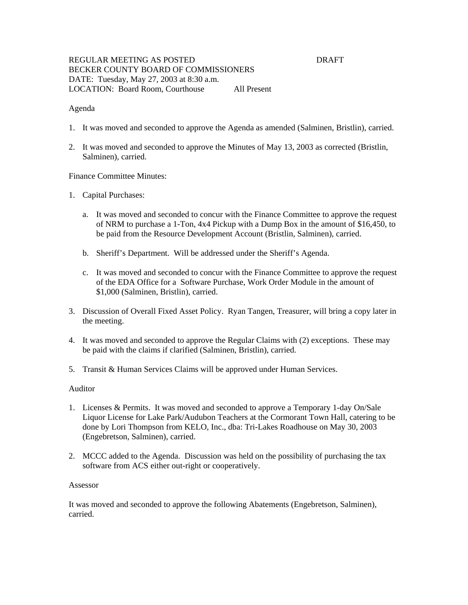## REGULAR MEETING AS POSTED DRAFT BECKER COUNTY BOARD OF COMMISSIONERS DATE: Tuesday, May 27, 2003 at 8:30 a.m. LOCATION: Board Room, Courthouse All Present

### Agenda

- 1. It was moved and seconded to approve the Agenda as amended (Salminen, Bristlin), carried.
- 2. It was moved and seconded to approve the Minutes of May 13, 2003 as corrected (Bristlin, Salminen), carried.

#### Finance Committee Minutes:

- 1. Capital Purchases:
	- a. It was moved and seconded to concur with the Finance Committee to approve the request of NRM to purchase a 1-Ton, 4x4 Pickup with a Dump Box in the amount of \$16,450, to be paid from the Resource Development Account (Bristlin, Salminen), carried.
	- b. Sheriff's Department. Will be addressed under the Sheriff's Agenda.
	- c. It was moved and seconded to concur with the Finance Committee to approve the request of the EDA Office for a Software Purchase, Work Order Module in the amount of \$1,000 (Salminen, Bristlin), carried.
- 3. Discussion of Overall Fixed Asset Policy. Ryan Tangen, Treasurer, will bring a copy later in the meeting.
- 4. It was moved and seconded to approve the Regular Claims with (2) exceptions. These may be paid with the claims if clarified (Salminen, Bristlin), carried.
- 5. Transit & Human Services Claims will be approved under Human Services.

# Auditor

- 1. Licenses & Permits. It was moved and seconded to approve a Temporary 1-day On/Sale Liquor License for Lake Park/Audubon Teachers at the Cormorant Town Hall, catering to be done by Lori Thompson from KELO, Inc., dba: Tri-Lakes Roadhouse on May 30, 2003 (Engebretson, Salminen), carried.
- 2. MCCC added to the Agenda. Discussion was held on the possibility of purchasing the tax software from ACS either out-right or cooperatively.

#### Assessor

It was moved and seconded to approve the following Abatements (Engebretson, Salminen), carried.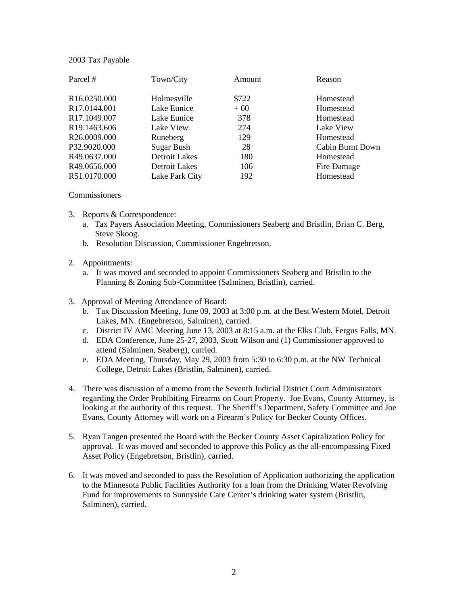## 2003 Tax Payable

| Parcel #                 | Town/City            | Amount | Reason           |
|--------------------------|----------------------|--------|------------------|
| R16.0250.000             | Holmesville          | \$722  | Homestead        |
| R17.0144.001             | Lake Eunice          | $+60$  | Homestead        |
| R17.1049.007             | Lake Eunice          | 378    | Homestead        |
| R <sub>19.1463.606</sub> | Lake View            | 274    | Lake View        |
| R26.0009.000             | Runeberg             | 129    | Homestead        |
| P32.9020.000             | Sugar Bush           | 28     | Cabin Burnt Down |
| R49.0637.000             | <b>Detroit Lakes</b> | 180    | Homestead        |
| R49.0656.000             | Detroit Lakes        | 106    | Fire Damage      |
| R51.0170.000             | Lake Park City       | 192    | Homestead        |

#### **Commissioners**

- 3. Reports & Correspondence:
	- a. Tax Payers Association Meeting, Commissioners Seaberg and Bristlin, Brian C. Berg, Steve Skoog.
	- b. Resolution Discussion, Commissioner Engebretson.

## 2. Appointments:

- a. It was moved and seconded to appoint Commissioners Seaberg and Bristlin to the Planning & Zoning Sub-Committee (Salminen, Bristlin), carried.
- 3. Approval of Meeting Attendance of Board:
	- b. Tax Discussion Meeting, June 09, 2003 at 3:00 p.m. at the Best Western Motel, Detroit Lakes, MN. (Engebretson, Salminen), carried.
	- c. District IV AMC Meeting June 13, 2003 at 8:15 a.m. at the Elks Club, Fergus Falls, MN.
	- d. EDA Conference, June 25-27, 2003, Scott Wilson and (1) Commissioner approved to attend (Salminen, Seaberg), carried.
	- e. EDA Meeting, Thursday, May 29, 2003 from 5:30 to 6:30 p.m. at the NW Technical College, Detroit Lakes (Bristlin, Salminen), carried.
- 4. There was discussion of a memo from the Seventh Judicial District Court Administrators regarding the Order Prohibiting Firearms on Court Property. Joe Evans, County Attorney, is looking at the authority of this request. The Sheriff's Department, Safety Committee and Joe Evans, County Attorney will work on a Firearm's Policy for Becker County Offices.
- 5. Ryan Tangen presented the Board with the Becker County Asset Capitalization Policy for approval. It was moved and seconded to approve this Policy as the all-encompassing Fixed Asset Policy (Engebretson, Bristlin), carried.
- 6. It was moved and seconded to pass the Resolution of Application authorizing the application to the Minnesota Public Facilities Authority for a loan from the Drinking Water Revolving Fund for improvements to Sunnyside Care Center's drinking water system (Bristlin, Salminen), carried.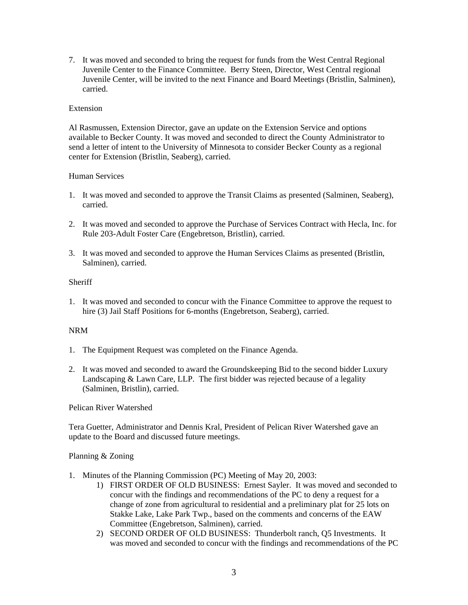7. It was moved and seconded to bring the request for funds from the West Central Regional Juvenile Center to the Finance Committee. Berry Steen, Director, West Central regional Juvenile Center, will be invited to the next Finance and Board Meetings (Bristlin, Salminen), carried.

## Extension

Al Rasmussen, Extension Director, gave an update on the Extension Service and options available to Becker County. It was moved and seconded to direct the County Administrator to send a letter of intent to the University of Minnesota to consider Becker County as a regional center for Extension (Bristlin, Seaberg), carried.

## Human Services

- 1. It was moved and seconded to approve the Transit Claims as presented (Salminen, Seaberg), carried.
- 2. It was moved and seconded to approve the Purchase of Services Contract with Hecla, Inc. for Rule 203-Adult Foster Care (Engebretson, Bristlin), carried.
- 3. It was moved and seconded to approve the Human Services Claims as presented (Bristlin, Salminen), carried.

# Sheriff

1. It was moved and seconded to concur with the Finance Committee to approve the request to hire (3) Jail Staff Positions for 6-months (Engebretson, Seaberg), carried.

#### NRM

- 1. The Equipment Request was completed on the Finance Agenda.
- 2. It was moved and seconded to award the Groundskeeping Bid to the second bidder Luxury Landscaping & Lawn Care, LLP. The first bidder was rejected because of a legality (Salminen, Bristlin), carried.

Pelican River Watershed

Tera Guetter, Administrator and Dennis Kral, President of Pelican River Watershed gave an update to the Board and discussed future meetings.

#### Planning & Zoning

- 1. Minutes of the Planning Commission (PC) Meeting of May 20, 2003:
	- 1) FIRST ORDER OF OLD BUSINESS: Ernest Sayler. It was moved and seconded to concur with the findings and recommendations of the PC to deny a request for a change of zone from agricultural to residential and a preliminary plat for 25 lots on Stakke Lake, Lake Park Twp., based on the comments and concerns of the EAW Committee (Engebretson, Salminen), carried.
	- 2) SECOND ORDER OF OLD BUSINESS: Thunderbolt ranch, Q5 Investments. It was moved and seconded to concur with the findings and recommendations of the PC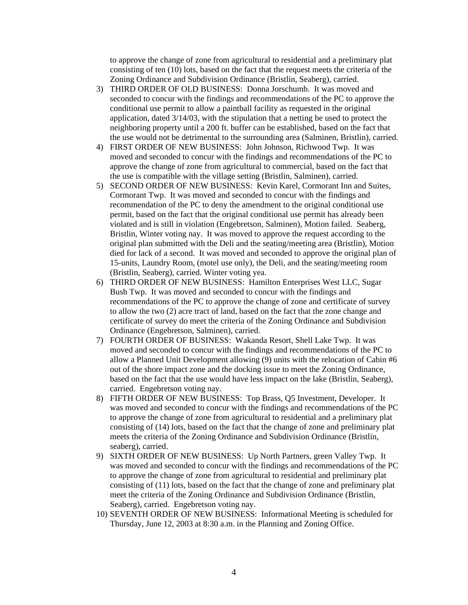to approve the change of zone from agricultural to residential and a preliminary plat consisting of ten (10) lots, based on the fact that the request meets the criteria of the Zoning Ordinance and Subdivision Ordinance (Bristlin, Seaberg), carried.

- 3) THIRD ORDER OF OLD BUSINESS: Donna Jorschumb. It was moved and seconded to concur with the findings and recommendations of the PC to approve the conditional use permit to allow a paintball facility as requested in the original application, dated 3/14/03, with the stipulation that a netting be used to protect the neighboring property until a 200 ft. buffer can be established, based on the fact that the use would not be detrimental to the surrounding area (Salminen, Bristlin), carried.
- 4) FIRST ORDER OF NEW BUSINESS: John Johnson, Richwood Twp. It was moved and seconded to concur with the findings and recommendations of the PC to approve the change of zone from agricultural to commercial, based on the fact that the use is compatible with the village setting (Bristlin, Salminen), carried.
- 5) SECOND ORDER OF NEW BUSINESS: Kevin Karel, Cormorant Inn and Suites, Cormorant Twp. It was moved and seconded to concur with the findings and recommendation of the PC to deny the amendment to the original conditional use permit, based on the fact that the original conditional use permit has already been violated and is still in violation (Engebretson, Salminen), Motion failed. Seaberg, Bristlin, Winter voting nay. It was moved to approve the request according to the original plan submitted with the Deli and the seating/meeting area (Bristlin), Motion died for lack of a second. It was moved and seconded to approve the original plan of 15-units, Laundry Room, (motel use only), the Deli, and the seating/meeting room (Bristlin, Seaberg), carried. Winter voting yea.
- 6) THIRD ORDER OF NEW BUSINESS: Hamilton Enterprises West LLC, Sugar Bush Twp. It was moved and seconded to concur with the findings and recommendations of the PC to approve the change of zone and certificate of survey to allow the two (2) acre tract of land, based on the fact that the zone change and certificate of survey do meet the criteria of the Zoning Ordinance and Subdivision Ordinance (Engebretson, Salminen), carried.
- 7) FOURTH ORDER OF BUSINESS: Wakanda Resort, Shell Lake Twp. It was moved and seconded to concur with the findings and recommendations of the PC to allow a Planned Unit Development allowing (9) units with the relocation of Cabin #6 out of the shore impact zone and the docking issue to meet the Zoning Ordinance, based on the fact that the use would have less impact on the lake (Bristlin, Seaberg), carried. Engebretson voting nay.
- 8) FIFTH ORDER OF NEW BUSINESS: Top Brass, Q5 Investment, Developer. It was moved and seconded to concur with the findings and recommendations of the PC to approve the change of zone from agricultural to residential and a preliminary plat consisting of (14) lots, based on the fact that the change of zone and preliminary plat meets the criteria of the Zoning Ordinance and Subdivision Ordinance (Bristlin, seaberg), carried.
- 9) SIXTH ORDER OF NEW BUSINESS: Up North Partners, green Valley Twp. It was moved and seconded to concur with the findings and recommendations of the PC to approve the change of zone from agricultural to residential and preliminary plat consisting of (11) lots, based on the fact that the change of zone and preliminary plat meet the criteria of the Zoning Ordinance and Subdivision Ordinance (Bristlin, Seaberg), carried. Engebretson voting nay.
- 10) SEVENTH ORDER OF NEW BUSINESS: Informational Meeting is scheduled for Thursday, June 12, 2003 at 8:30 a.m. in the Planning and Zoning Office.